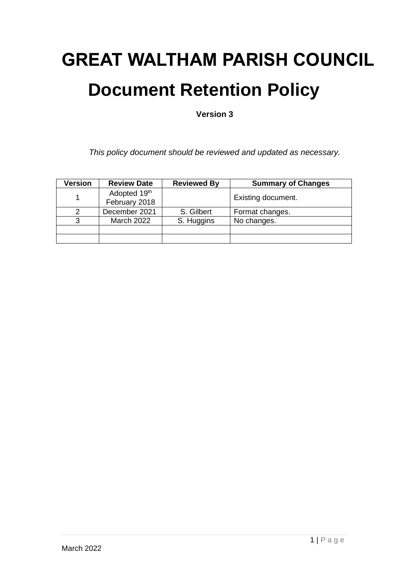# **GREAT WALTHAM PARISH COUNCIL Document Retention Policy**

**Version 3**

*This policy document should be reviewed and updated as necessary.*

| Version | <b>Review Date</b>            | <b>Reviewed By</b> | <b>Summary of Changes</b> |
|---------|-------------------------------|--------------------|---------------------------|
|         | Adopted 19th<br>February 2018 |                    | Existing document.        |
|         | December 2021                 | S. Gilbert         | Format changes.           |
|         | <b>March 2022</b>             | S. Huggins         | No changes.               |
|         |                               |                    |                           |
|         |                               |                    |                           |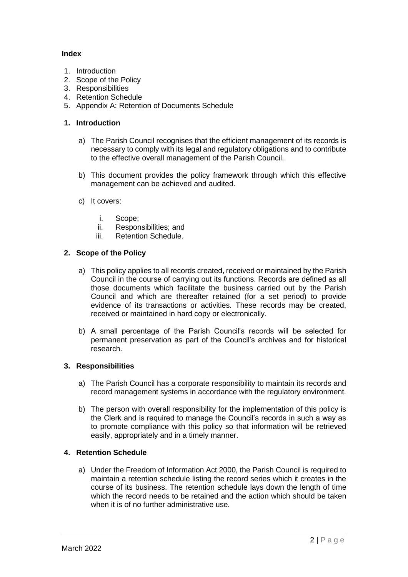## **Index**

- 1. Introduction
- 2. Scope of the Policy
- 3. Responsibilities
- 4. Retention Schedule
- 5. Appendix A: Retention of Documents Schedule

### **1. Introduction**

- a) The Parish Council recognises that the efficient management of its records is necessary to comply with its legal and regulatory obligations and to contribute to the effective overall management of the Parish Council.
- b) This document provides the policy framework through which this effective management can be achieved and audited.
- c) It covers:
	- i. Scope;
	- ii. Responsibilities; and
	- iii. Retention Schedule.

## **2. Scope of the Policy**

- a) This policy applies to all records created, received or maintained by the Parish Council in the course of carrying out its functions. Records are defined as all those documents which facilitate the business carried out by the Parish Council and which are thereafter retained (for a set period) to provide evidence of its transactions or activities. These records may be created, received or maintained in hard copy or electronically.
- b) A small percentage of the Parish Council's records will be selected for permanent preservation as part of the Council's archives and for historical research.

#### **3. Responsibilities**

- a) The Parish Council has a corporate responsibility to maintain its records and record management systems in accordance with the regulatory environment.
- b) The person with overall responsibility for the implementation of this policy is the Clerk and is required to manage the Council's records in such a way as to promote compliance with this policy so that information will be retrieved easily, appropriately and in a timely manner.

#### **4. Retention Schedule**

a) Under the Freedom of Information Act 2000, the Parish Council is required to maintain a retention schedule listing the record series which it creates in the course of its business. The retention schedule lays down the length of time which the record needs to be retained and the action which should be taken when it is of no further administrative use.